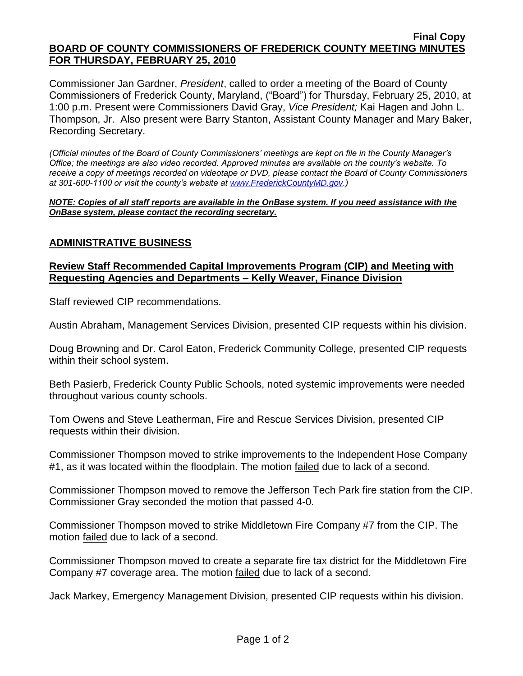### **Final Copy BOARD OF COUNTY COMMISSIONERS OF FREDERICK COUNTY MEETING MINUTES FOR THURSDAY, FEBRUARY 25, 2010**

Commissioner Jan Gardner, *President*, called to order a meeting of the Board of County Commissioners of Frederick County, Maryland, ("Board") for Thursday, February 25, 2010, at 1:00 p.m. Present were Commissioners David Gray, *Vice President;* Kai Hagen and John L. Thompson, Jr. Also present were Barry Stanton, Assistant County Manager and Mary Baker, Recording Secretary.

*(Official minutes of the Board of County Commissioners' meetings are kept on file in the County Manager's Office; the meetings are also video recorded. Approved minutes are available on the county's website. To receive a copy of meetings recorded on videotape or DVD, please contact the Board of County Commissioners at 301-600-1100 or visit the county's website at [www.FrederickCountyMD.gov.](http://www.frederickcountymd.gov/))*

*NOTE: Copies of all staff reports are available in the OnBase system. If you need assistance with the OnBase system, please contact the recording secretary.*

## **ADMINISTRATIVE BUSINESS**

### **Review Staff Recommended Capital Improvements Program (CIP) and Meeting with Requesting Agencies and Departments – Kelly Weaver, Finance Division**

Staff reviewed CIP recommendations.

Austin Abraham, Management Services Division, presented CIP requests within his division.

Doug Browning and Dr. Carol Eaton, Frederick Community College, presented CIP requests within their school system.

Beth Pasierb, Frederick County Public Schools, noted systemic improvements were needed throughout various county schools.

Tom Owens and Steve Leatherman, Fire and Rescue Services Division, presented CIP requests within their division.

Commissioner Thompson moved to strike improvements to the Independent Hose Company #1, as it was located within the floodplain. The motion failed due to lack of a second.

Commissioner Thompson moved to remove the Jefferson Tech Park fire station from the CIP. Commissioner Gray seconded the motion that passed 4-0.

Commissioner Thompson moved to strike Middletown Fire Company #7 from the CIP. The motion failed due to lack of a second.

Commissioner Thompson moved to create a separate fire tax district for the Middletown Fire Company #7 coverage area. The motion failed due to lack of a second.

Jack Markey, Emergency Management Division, presented CIP requests within his division.